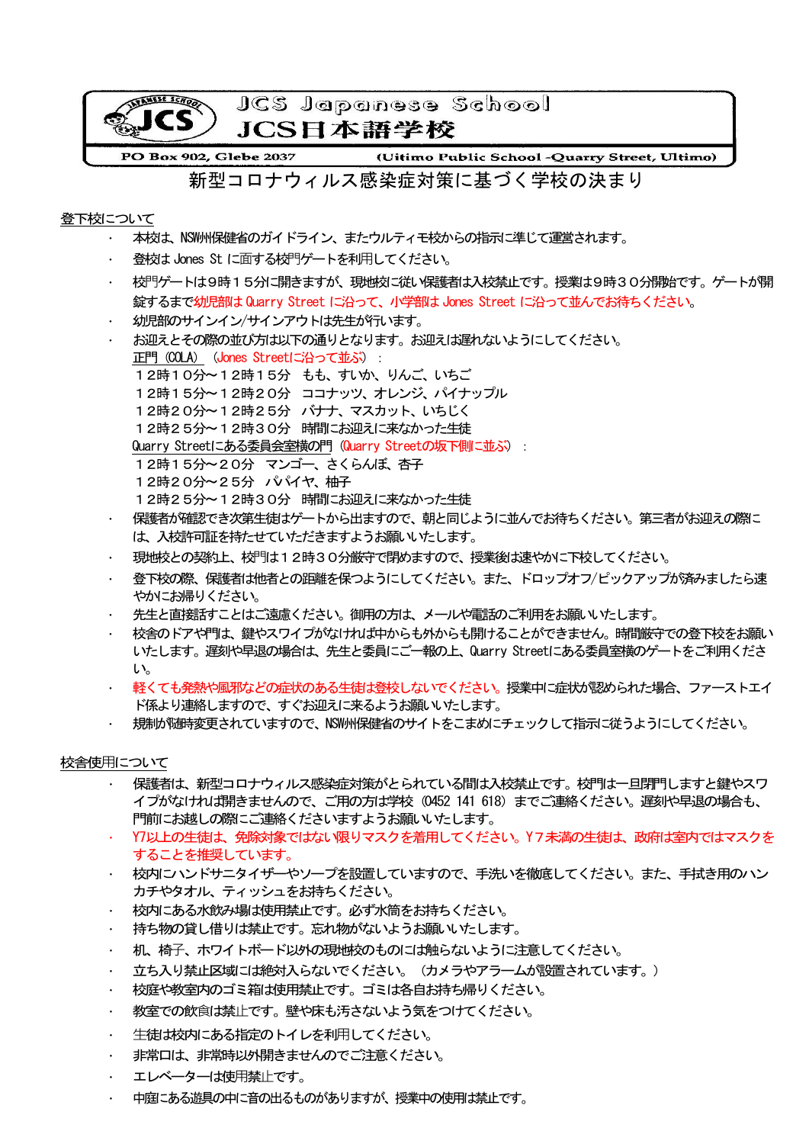

## 登下校について

- ・ 本校は、NSW州保健省のガイドライン、またウルティモ校からの指示に準じて運営されます。
- 登校は Jones St に面する校門ゲートを利用してください。
- 枝門ゲートは9時15分に開きますが、現地校に従い保護者は入校禁止です。授業は9時30分開始です。ゲートが開 錠するまで幼児部は Quarry Street に沿って、小学部は Jones Street に沿って並んでお待ちください。
- 幼児部のサインイン/サインアウトは先生が行います。
- ・ お迎えとその際の並び方は以下の通りとなります。お迎えは遅れないようにしてください。 正門 (COLA) (Jones Streetに沿って並ぶ): 12時10分〜12時15分 もも、すいか、りんご、いちご 12時15分〜12時20分 ココナッツ、オレンジ、パイナップル 12時20分〜12時25分 バナナ、マスカット、いちじく 12時25分〜12時30分 時間にお迎えに来なかった生徒 Quarry Streetにある委員会室横の門 (Quarry Streetの坂下側に並ぶ): 12時15分〜20分 マンゴー、さくらんぼ、杏子 12時20分~25分 パイヤ、柚子 12時25分〜12時30分 時間にお迎えに来なかった生徒 保護者が確認でき次第生徒はゲートから出ますので、朝と同じように並んでお待ちください。第三者がお迎えの際に
- は、入校許可証を持たせていただきますようお願いいたします。 現地校との契約上、校門は12時30分厳守で閉めますので、授業後は速やかに下校してください。
- 登下校の際、保護者は他者との距離を保つようにしてください。また、ドロップオフ/ピックアップが済みましたら速 やかにお帰りください。
- ・ 先生と直接話すことはご遠慮ください。御用の方は、メールや電話のご利用をお願いいたします。
- ・ 校舎のドアや門は、鍵やスワイプがなければ中からも外からも開けることができません。時間厳守での登下校をお願い いたします。遅刻や早退の場合は、先生と委員にご一報の上、Quarry Streetにある委員室横のゲートをご利用くださ い。
- ・ 軽くても発熱や風邪などの症状のある生徒は登校しないでください。授業中に症状が認められた場合、ファーストエイ ド係より連絡しますので、すぐお迎えに来るようお願いいたします。
- ・ 規制が随時変更されていますので、NSW州保健省のサイトをこまめにチェックして指示に従うようにしてください。

### 校舎使用について

- 保護者は、新型コロナウィルス感染症対策がとられている間は入校禁止です。校門は一旦閉門しますと鍵やスワ イプがなければ開きませんので、ご用の方は学校(0452 141 618)までご連絡ください。遅刻や早退の場合も、 門前にお越しの際にご連絡くださいますようお願いいたします。
- ・ Y7以上の生徒は、免除対象ではない限りマスクを着用してください。Y7未満の生徒は、政府は室内ではマスクを することを推奨しています。
- ・ 校内にハンドサニタイザーやソープを設置していますので、手洗いを徹底してください。また、手拭き用のハン カチやタオル、ティッシュをお持ちください。
- ・ 校内にある水飲み場は使用禁止です。必ず水筒をお持ちください。
- ・ 持ち物の貸し借りは禁止です。忘れ物がないようお願いいたします。
- ・ 机、椅⼦、ホワイトボード以外の現地校のものには触らないように注意してください。
- 立ち入り禁止区域には絶対入らないでください。(カメラやアラームが設置されています。)
- ・ 校庭や教室内のゴミ箱は使用禁止です。ゴミは各自お持ち帰りください。
- 教室での飲食は禁止です。壁や床も汚さないよう気をつけてください。
- 生徒は校内にある指定のトイレを利用してください。
- 非常口は、非常時以外開きませんのでご注意ください。
- エレベーターは使用禁止です。
- ・ 中庭にある遊具の中に音の出るものがありますが、授業中の使用は禁止です。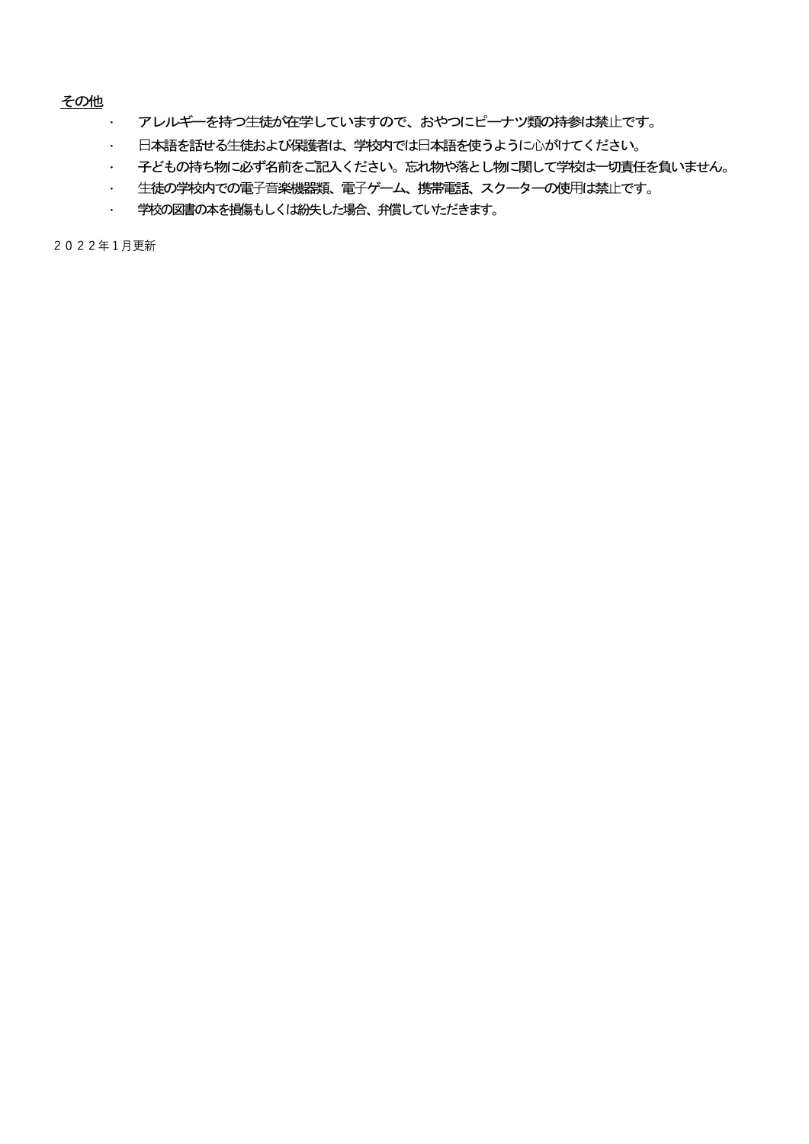## その他

- ・ アレルギーを持つ生徒が在学していますので、おやつにピーナツ類の持参は禁止です。
- ・ 日本語を話せる生徒および保護者は、学校内では日本語を使うように心がけてください。
- ・ 子どもの持ち物に必ず名前をご記入ください。忘れ物や落とし物に関して学校は一切責任を負いません。
- ・ 生徒の学校内での電子音楽機器類、電子ゲーム、携帯電話、スクーターの使用は禁止です。
- ・ 学校の図書の本を損傷もしくは紛失した場合、弁償していただきます。

2022年1月更新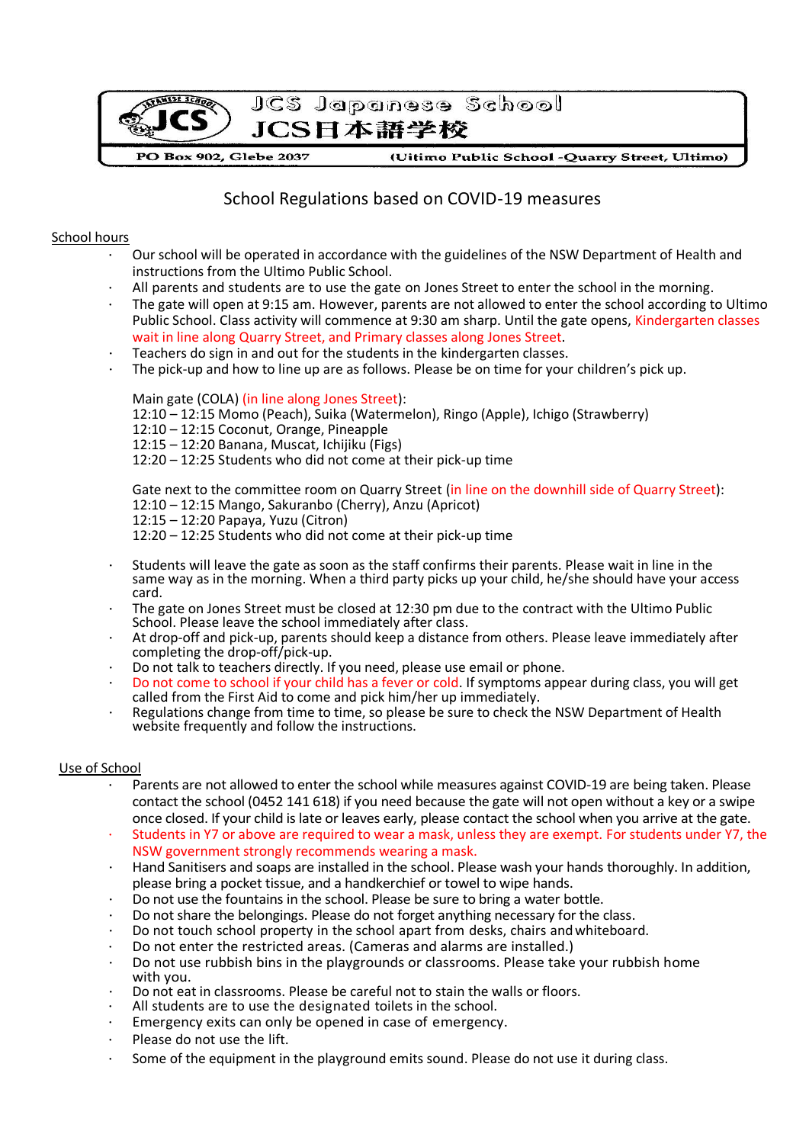

# School Regulations based on COVID-19 measures

#### School hours

- Our school will be operated in accordance with the guidelines of the NSW Department of Health and instructions from the Ultimo Public School.
- All parents and students are to use the gate on Jones Street to enter the school in the morning.
- The gate will open at 9:15 am. However, parents are not allowed to enter the school according to Ultimo Public School. Class activity will commence at 9:30 am sharp. Until the gate opens, Kindergarten classes wait in line along Quarry Street, and Primary classes along Jones Street.
- Teachers do sign in and out for the students in the kindergarten classes.
- The pick-up and how to line up are as follows. Please be on time for your children's pick up.

#### Main gate (COLA) (in line along Jones Street):

- 12:10 12:15 Momo (Peach), Suika (Watermelon), Ringo (Apple), Ichigo (Strawberry)
- 12:10 12:15 Coconut, Orange, Pineapple
- 12:15 12:20 Banana, Muscat, Ichijiku (Figs)
- 12:20 12:25 Students who did not come at their pick-up time

Gate next to the committee room on Quarry Street (in line on the downhill side of Quarry Street): 12:10 – 12:15 Mango, Sakuranbo (Cherry), Anzu (Apricot) 12:15 – 12:20 Papaya, Yuzu (Citron)

12:20 – 12:25 Students who did not come at their pick-up time

- Students will leave the gate as soon as the staff confirms their parents. Please wait in line in the same way as in the morning. When a third party picks up your child, he/she should have your access card.
- The gate on Jones Street must be closed at 12:30 pm due to the contract with the Ultimo Public School. Please leave the school immediately after class.
- At drop-off and pick-up, parents should keep a distance from others. Please leave immediately after completing the drop-off/pick-up.
- Do not talk to teachers directly. If you need, please use email or phone.
- Do not come to school if your child has a fever or cold. If symptoms appear during class, you will get called from the First Aid to come and pick him/her up immediately.
- Regulations change from time to time, so please be sure to check the NSW Department of Health website frequently and follow the instructions.

#### Use of School

- Parents are not allowed to enter the school while measures against COVID-19 are being taken. Please contact the school (0452 141 618) if you need because the gate will not open without a key or a swipe once closed. If your child is late or leaves early, please contact the school when you arrive at the gate.
- Students in Y7 or above are required to wear a mask, unless they are exempt. For students under Y7, the NSW government strongly recommends wearing a mask.
- Hand Sanitisers and soaps are installed in the school. Please wash your hands thoroughly. In addition, please bring a pocket tissue, and a handkerchief or towel to wipe hands.
- Do not use the fountains in the school. Please be sure to bring a water bottle.
- Do not share the belongings. Please do not forget anything necessary for the class.
- Do not touch school property in the school apart from desks, chairs and whiteboard.
- Do not enter the restricted areas. (Cameras and alarms are installed.)
- Do not use rubbish bins in the playgrounds or classrooms. Please take your rubbish home with you.
- Do not eat in classrooms. Please be careful not to stain the walls or floors.
- All students are to use the designated toilets in the school.
- Emergency exits can only be opened in case of emergency.
- Please do not use the lift.
- Some of the equipment in the playground emits sound. Please do not use it during class.